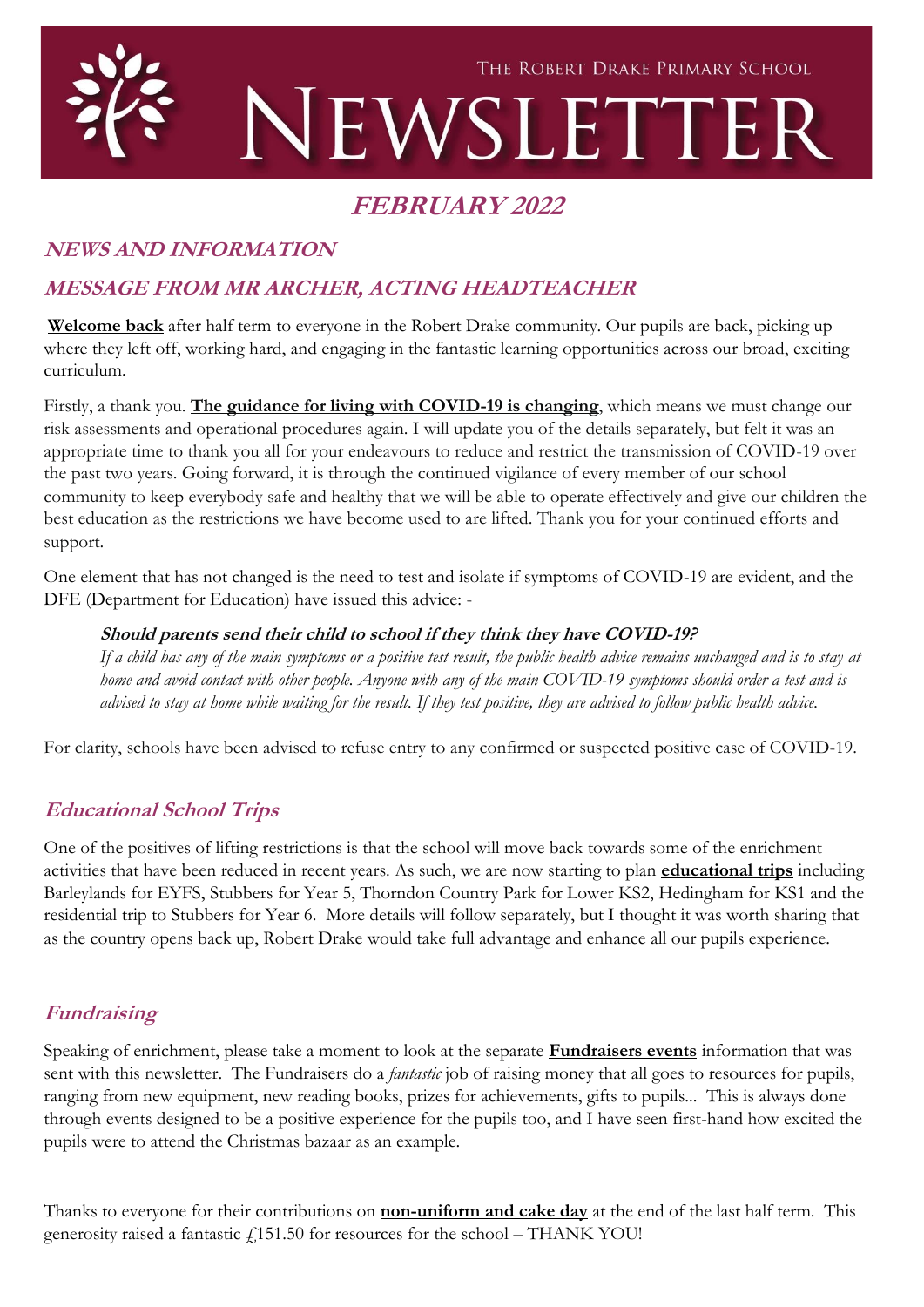

# **FEBRUARY 2022**

# **NEWS AND INFORMATION**

# **MESSAGE FROM MR ARCHER, ACTING HEADTEACHER**

**Welcome back** after half term to everyone in the Robert Drake community. Our pupils are back, picking up where they left off, working hard, and engaging in the fantastic learning opportunities across our broad, exciting curriculum.

Firstly, a thank you. **The guidance for living with COVID-19 is changing**, which means we must change our risk assessments and operational procedures again. I will update you of the details separately, but felt it was an appropriate time to thank you all for your endeavours to reduce and restrict the transmission of COVID-19 over the past two years. Going forward, it is through the continued vigilance of every member of our school community to keep everybody safe and healthy that we will be able to operate effectively and give our children the best education as the restrictions we have become used to are lifted. Thank you for your continued efforts and support.

One element that has not changed is the need to test and isolate if symptoms of COVID-19 are evident, and the DFE (Department for Education) have issued this advice: -

#### **Should parents send their child to school if they think they have COVID-19?**

*If a child has any of the main symptoms or a positive test result, the public health advice remains unchanged and is to stay at home and avoid contact with other people. Anyone with any of the main COVID-19 symptoms should order a test and is advised to stay at home while waiting for the result. If they test positive, they are advised to follow public health advice.*

For clarity, schools have been advised to refuse entry to any confirmed or suspected positive case of COVID-19.

# **Educational School Trips**

One of the positives of lifting restrictions is that the school will move back towards some of the enrichment activities that have been reduced in recent years. As such, we are now starting to plan **educational trips** including Barleylands for EYFS, Stubbers for Year 5, Thorndon Country Park for Lower KS2, Hedingham for KS1 and the residential trip to Stubbers for Year 6. More details will follow separately, but I thought it was worth sharing that as the country opens back up, Robert Drake would take full advantage and enhance all our pupils experience.

# **Fundraising**

Speaking of enrichment, please take a moment to look at the separate **Fundraisers events** information that was sent with this newsletter. The Fundraisers do a *fantastic* job of raising money that all goes to resources for pupils, ranging from new equipment, new reading books, prizes for achievements, gifts to pupils... This is always done through events designed to be a positive experience for the pupils too, and I have seen first-hand how excited the pupils were to attend the Christmas bazaar as an example.

Thanks to everyone for their contributions on **non-uniform and cake day** at the end of the last half term. This generosity raised a fantastic  $f$ 151.50 for resources for the school – THANK YOU!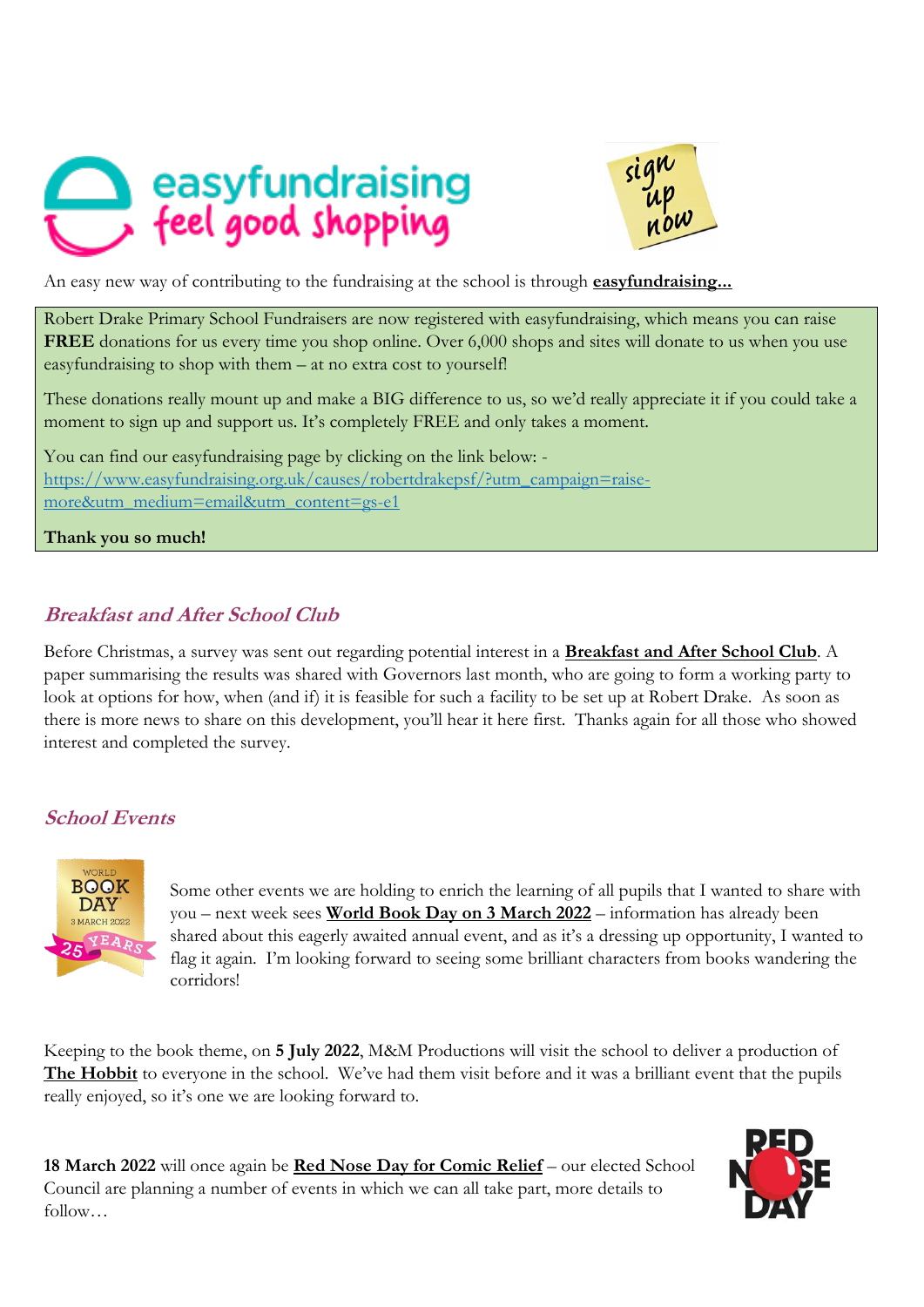



Robert Drake Primary School Fundraisers are now registered with easyfundraising, which means you can raise **FREE** donations for us every time you shop online. Over 6,000 shops and sites will donate to us when you use easyfundraising to shop with them – at no extra cost to yourself!

These donations really mount up and make a BIG difference to us, so we'd really appreciate it if you could take a moment to sign up and support us. It's completely FREE and only takes a moment.

You can find our easyfundraising page by clicking on the link below: [https://www.easyfundraising.org.uk/causes/robertdrakepsf/?utm\\_campaign=raise](https://www.easyfundraising.org.uk/causes/robertdrakepsf/?utm_campaign=raise-more&utm_medium=email&utm_content=gs-e1)[more&utm\\_medium=email&utm\\_content=gs-e1](https://www.easyfundraising.org.uk/causes/robertdrakepsf/?utm_campaign=raise-more&utm_medium=email&utm_content=gs-e1)

**Thank you so much!**

# **Breakfast and After School Club**

Before Christmas, a survey was sent out regarding potential interest in a **Breakfast and After School Club**. A paper summarising the results was shared with Governors last month, who are going to form a working party to look at options for how, when (and if) it is feasible for such a facility to be set up at Robert Drake. As soon as there is more news to share on this development, you'll hear it here first. Thanks again for all those who showed interest and completed the survey.

# **School Events**



Some other events we are holding to enrich the learning of all pupils that I wanted to share with you – next week sees **World Book Day on 3 March 2022** – information has already been shared about this eagerly awaited annual event, and as it's a dressing up opportunity, I wanted to flag it again. I'm looking forward to seeing some brilliant characters from books wandering the corridors!

Keeping to the book theme, on **5 July 2022**, M&M Productions will visit the school to deliver a production of **The Hobbit** to everyone in the school. We've had them visit before and it was a brilliant event that the pupils really enjoyed, so it's one we are looking forward to.

**18 March 2022** will once again be **Red Nose Day for Comic Relief** – our elected School Council are planning a number of events in which we can all take part, more details to follow…

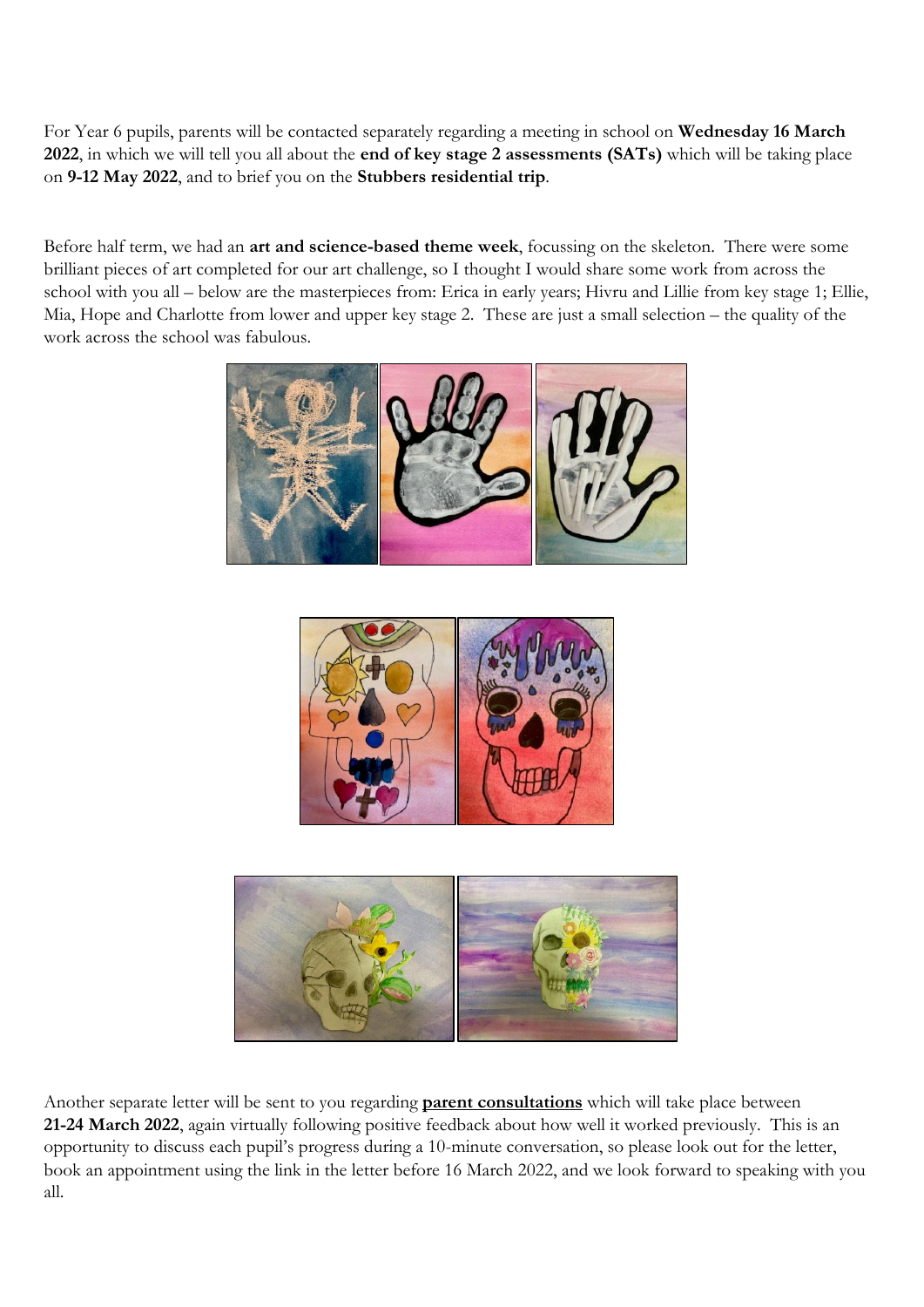For Year 6 pupils, parents will be contacted separately regarding a meeting in school on **Wednesday 16 March 2022**, in which we will tell you all about the **end of key stage 2 assessments (SATs)** which will be taking place on **9-12 May 2022**, and to brief you on the **Stubbers residential trip**.

Before half term, we had an **art and science-based theme week**, focussing on the skeleton. There were some brilliant pieces of art completed for our art challenge, so I thought I would share some work from across the school with you all – below are the masterpieces from: Erica in early years; Hivru and Lillie from key stage 1; Ellie, Mia, Hope and Charlotte from lower and upper key stage 2. These are just a small selection – the quality of the work across the school was fabulous.







Another separate letter will be sent to you regarding **parent consultations** which will take place between **21-24 March 2022**, again virtually following positive feedback about how well it worked previously. This is an opportunity to discuss each pupil's progress during a 10-minute conversation, so please look out for the letter, book an appointment using the link in the letter before 16 March 2022, and we look forward to speaking with you all.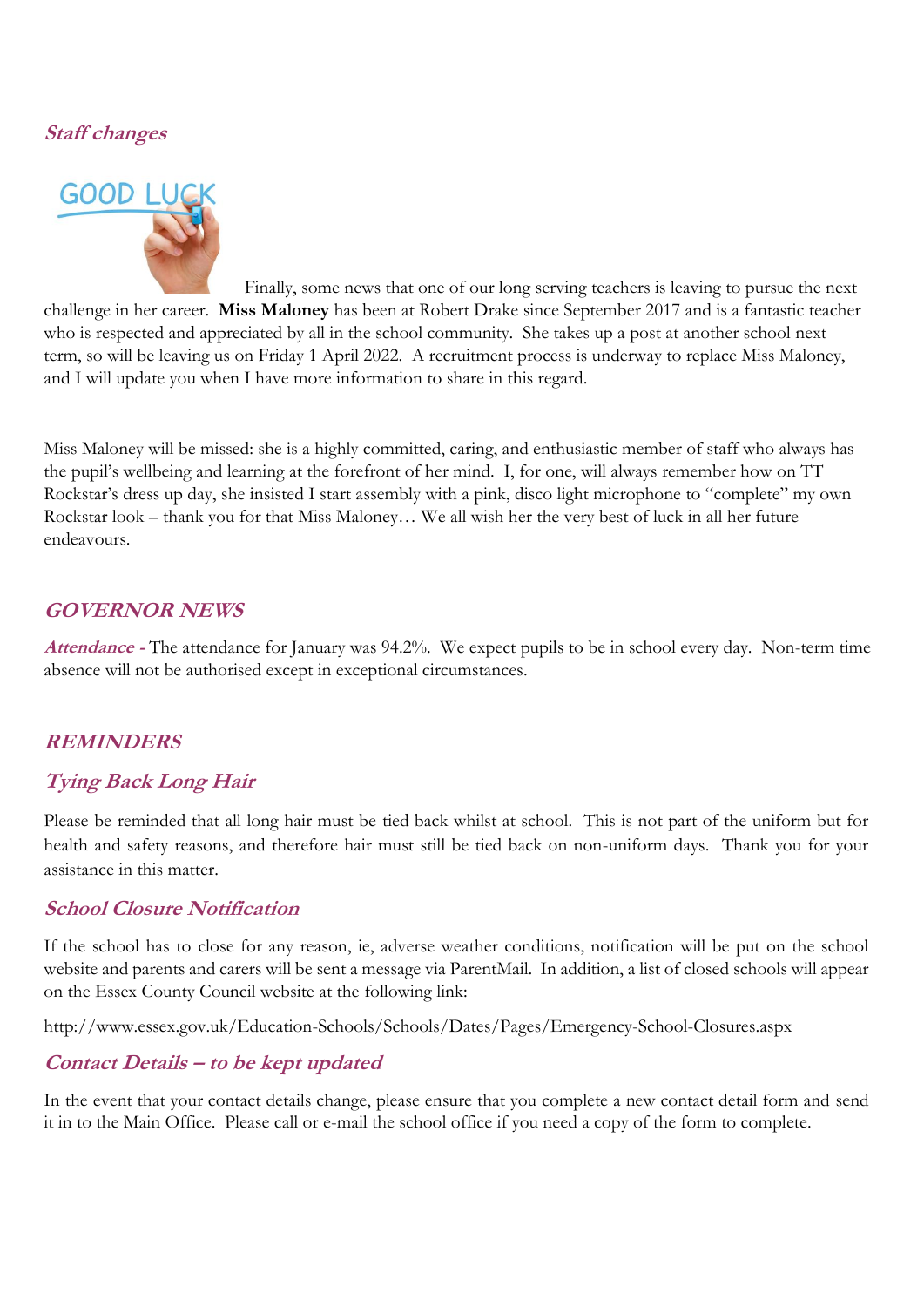#### **Staff changes**



Finally, some news that one of our long serving teachers is leaving to pursue the next challenge in her career. **Miss Maloney** has been at Robert Drake since September 2017 and is a fantastic teacher who is respected and appreciated by all in the school community. She takes up a post at another school next term, so will be leaving us on Friday 1 April 2022. A recruitment process is underway to replace Miss Maloney, and I will update you when I have more information to share in this regard.

Miss Maloney will be missed: she is a highly committed, caring, and enthusiastic member of staff who always has the pupil's wellbeing and learning at the forefront of her mind. I, for one, will always remember how on TT Rockstar's dress up day, she insisted I start assembly with a pink, disco light microphone to "complete" my own Rockstar look – thank you for that Miss Maloney… We all wish her the very best of luck in all her future endeavours.

#### **GOVERNOR NEWS**

**Attendance -** The attendance for January was 94.2%. We expect pupils to be in school every day. Non-term time absence will not be authorised except in exceptional circumstances.

#### **REMINDERS**

# **Tying Back Long Hair**

Please be reminded that all long hair must be tied back whilst at school. This is not part of the uniform but for health and safety reasons, and therefore hair must still be tied back on non-uniform days. Thank you for your assistance in this matter.

#### **School Closure Notification**

If the school has to close for any reason, ie, adverse weather conditions, notification will be put on the school website and parents and carers will be sent a message via ParentMail. In addition, a list of closed schools will appear on the Essex County Council website at the following link:

http://www.essex.gov.uk/Education-Schools/Schools/Dates/Pages/Emergency-School-Closures.aspx

# **Contact Details – to be kept updated**

In the event that your contact details change, please ensure that you complete a new contact detail form and send it in to the Main Office. Please call or e-mail the school office if you need a copy of the form to complete.